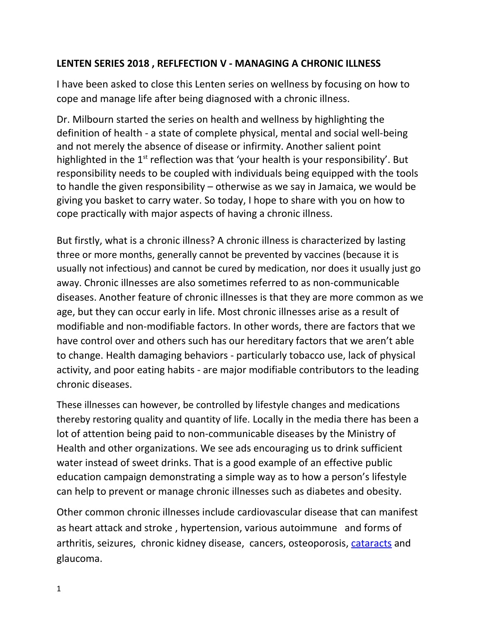## **LENTEN SERIES 2018 , REFLFECTION V - MANAGING A CHRONIC ILLNESS**

I have been asked to close this Lenten series on wellness by focusing on how to cope and manage life after being diagnosed with a chronic illness.

Dr. Milbourn started the series on health and wellness by highlighting the definition of health - a state of complete physical, mental and social well-being and not merely the absence of disease or infirmity. Another salient point highlighted in the  $1<sup>st</sup>$  reflection was that 'your health is your responsibility'. But responsibility needs to be coupled with individuals being equipped with the tools to handle the given responsibility – otherwise as we say in Jamaica, we would be giving you basket to carry water. So today, I hope to share with you on how to cope practically with major aspects of having a chronic illness.

But firstly, what is a chronic illness? A chronic illness is characterized by lasting three or more months, generally cannot be prevented by vaccines (because it is usually not infectious) and cannot be cured by medication, nor does it usually just go away. Chronic illnesses are also sometimes referred to as non-communicable diseases. Another feature of chronic illnesses is that they are more common as we age, but they can occur early in life. Most chronic illnesses arise as a result of modifiable and non-modifiable factors. In other words, there are factors that we have control over and others such has our hereditary factors that we aren't able to change. Health damaging behaviors - particularly tobacco use, lack of physical activity, and poor eating habits - are major modifiable contributors to the leading chronic diseases.

These illnesses can however, be controlled by lifestyle changes and medications thereby restoring quality and quantity of life. Locally in the media there has been a lot of attention being paid to non-communicable diseases by the Ministry of Health and other organizations. We see ads encouraging us to drink sufficient water instead of sweet drinks. That is a good example of an effective public education campaign demonstrating a simple way as to how a person's lifestyle can help to prevent or manage chronic illnesses such as diabetes and obesity.

Other common chronic illnesses include cardiovascular disease that can manifest as heart attack and stroke , hypertension, various autoimmune and forms of arthritis, seizures, [chronic kidney disease,](https://en.wikipedia.org/wiki/Chronic_kidney_disease) cancers, [osteoporosis,](https://en.wikipedia.org/wiki/Osteoporosis) [cataracts](https://en.wikipedia.org/wiki/Cataract) and glaucoma.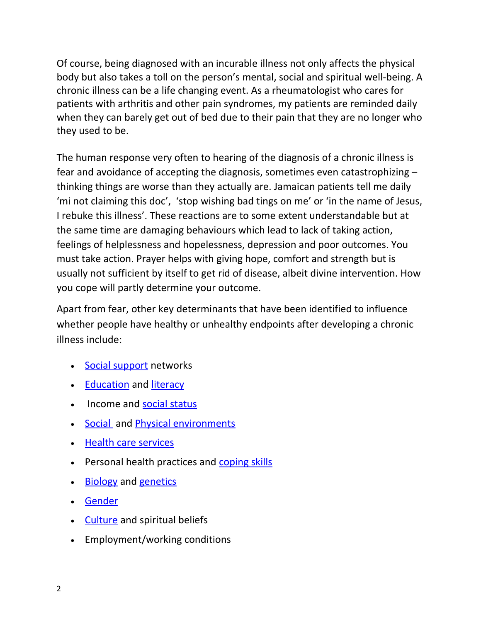Of course, being diagnosed with an incurable illness not only affects the physical body but also takes a toll on the person's mental, social and spiritual well-being. A chronic illness can be a life changing event. As a rheumatologist who cares for patients with arthritis and other pain syndromes, my patients are reminded daily when they can barely get out of bed due to their pain that they are no longer who they used to be.

The human response very often to hearing of the diagnosis of a chronic illness is fear and avoidance of accepting the diagnosis, sometimes even catastrophizing – thinking things are worse than they actually are. Jamaican patients tell me daily 'mi not claiming this doc', 'stop wishing bad tings on me' or 'in the name of Jesus, I rebuke this illness'. These reactions are to some extent understandable but at the same time are damaging behaviours which lead to lack of taking action, feelings of helplessness and hopelessness, depression and poor outcomes. You must take action. Prayer helps with giving hope, comfort and strength but is usually not sufficient by itself to get rid of disease, albeit divine intervention. How you cope will partly determine your outcome.

Apart from fear, other key determinants that have been identified to influence whether people have healthy or unhealthy endpoints after developing a chronic illness include:

- [Social support](https://en.wikipedia.org/wiki/Social_support) networks
- [Education](https://en.wikipedia.org/wiki/Education) and [literacy](https://en.wikipedia.org/wiki/Literacy)
- Income and [social status](https://en.wikipedia.org/wiki/Social_status)
- [Social](https://en.wikipedia.org/wiki/Social_environments) and [Physical environments](https://en.wikipedia.org/wiki/Environment_(biophysical))
- [Health care services](https://en.wikipedia.org/wiki/Healthcare)
- Personal health practices and [coping skills](https://en.wikipedia.org/wiki/Coping_skills)
- [Biology](https://en.wikipedia.org/wiki/Human_biology) and [genetics](https://en.wikipedia.org/wiki/Genetics)
- [Gender](https://en.wikipedia.org/wiki/Gender)
- [Culture](https://en.wikipedia.org/wiki/Culture) and spiritual beliefs
- Employment/working conditions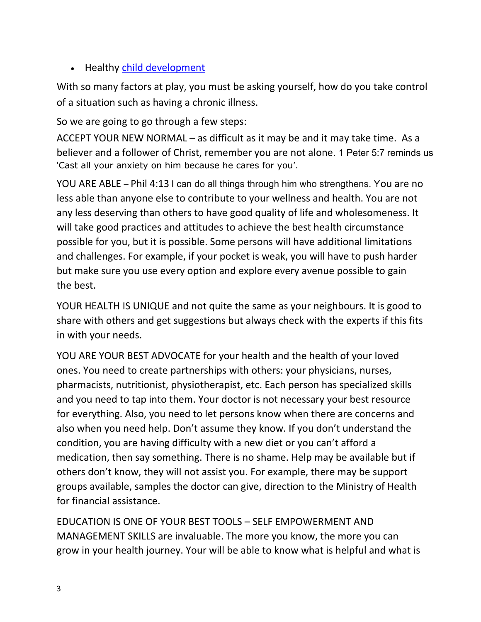• Healthy [child development](https://en.wikipedia.org/wiki/Child_development)

With so many factors at play, you must be asking yourself, how do you take control of a situation such as having a chronic illness.

So we are going to go through a few steps:

ACCEPT YOUR NEW NORMAL – as difficult as it may be and it may take time. As a believer and a follower of Christ, remember you are not alone. 1 Peter 5:7 reminds us 'Cast all your anxiety on him because he cares for you'.

YOU ARE ABLE – Phil 4:13 I can do all things through him who strengthens. You are no less able than anyone else to contribute to your wellness and health. You are not any less deserving than others to have good quality of life and wholesomeness. It will take good practices and attitudes to achieve the best health circumstance possible for you, but it is possible. Some persons will have additional limitations and challenges. For example, if your pocket is weak, you will have to push harder but make sure you use every option and explore every avenue possible to gain the best.

YOUR HEALTH IS UNIQUE and not quite the same as your neighbours. It is good to share with others and get suggestions but always check with the experts if this fits in with your needs.

YOU ARE YOUR BEST ADVOCATE for your health and the health of your loved ones. You need to create partnerships with others: your physicians, nurses, pharmacists, nutritionist, physiotherapist, etc. Each person has specialized skills and you need to tap into them. Your doctor is not necessary your best resource for everything. Also, you need to let persons know when there are concerns and also when you need help. Don't assume they know. If you don't understand the condition, you are having difficulty with a new diet or you can't afford a medication, then say something. There is no shame. Help may be available but if others don't know, they will not assist you. For example, there may be support groups available, samples the doctor can give, direction to the Ministry of Health for financial assistance.

EDUCATION IS ONE OF YOUR BEST TOOLS – SELF EMPOWERMENT AND MANAGEMENT SKILLS are invaluable. The more you know, the more you can grow in your health journey. Your will be able to know what is helpful and what is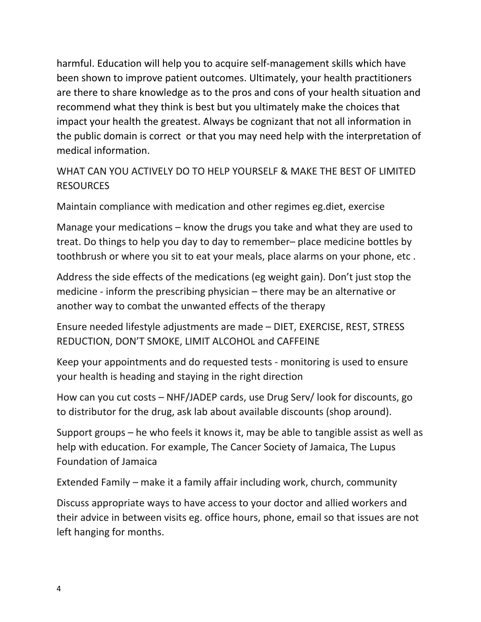harmful. Education will help you to acquire self-management skills which have been shown to improve patient outcomes. Ultimately, your health practitioners are there to share knowledge as to the pros and cons of your health situation and recommend what they think is best but you ultimately make the choices that impact your health the greatest. Always be cognizant that not all information in the public domain is correct or that you may need help with the interpretation of medical information.

## WHAT CAN YOU ACTIVELY DO TO HELP YOURSELF & MAKE THE BEST OF LIMITED **RESOURCES**

Maintain compliance with medication and other regimes eg.diet, exercise

Manage your medications – know the drugs you take and what they are used to treat. Do things to help you day to day to remember– place medicine bottles by toothbrush or where you sit to eat your meals, place alarms on your phone, etc .

Address the side effects of the medications (eg weight gain). Don't just stop the medicine - inform the prescribing physician – there may be an alternative or another way to combat the unwanted effects of the therapy

Ensure needed lifestyle adjustments are made – DIET, EXERCISE, REST, STRESS REDUCTION, DON'T SMOKE, LIMIT ALCOHOL and CAFFEINE

Keep your appointments and do requested tests - monitoring is used to ensure your health is heading and staying in the right direction

How can you cut costs – NHF/JADEP cards, use Drug Serv/ look for discounts, go to distributor for the drug, ask lab about available discounts (shop around).

Support groups – he who feels it knows it, may be able to tangible assist as well as help with education. For example, The Cancer Society of Jamaica, The Lupus Foundation of Jamaica

Extended Family – make it a family affair including work, church, community

Discuss appropriate ways to have access to your doctor and allied workers and their advice in between visits eg. office hours, phone, email so that issues are not left hanging for months.